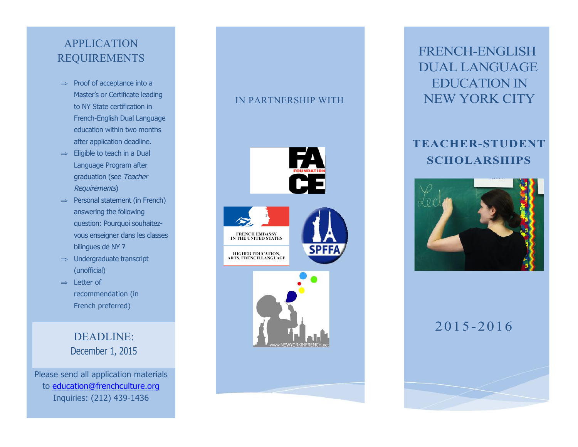#### **APPLICATION** REQUIREMENTS

- ⇒ Proof of acceptance into a Master's or Certificate leading to NY State certification in French-English Dual Language education within two months after application deadline.
- ⇒ Eligible to teach in a Dual Language Program after graduation (see Teacher Requirements)
- ⇒ Personal statement (in French) answering the following question: Pourquoi souhaitezvous enseigner dans les classes bilingues de NY ?
- ⇒ Undergraduate transcript (unofficial)
- ⇒ Letter of recommendation (in French preferred)

DEADLINE: December 1, 2015

Please send all application materials to education@frenchculture.org Inquiries: (212) 439-1436

#### IN PARTNERSHIP WITH



## FRENCH-ENGLISH DUAL LANGUAGE EDUCATION IN NEW YORK CITY

### **TEACHER-STUDENT SCHOLARSHIPS**



### 2015-2016